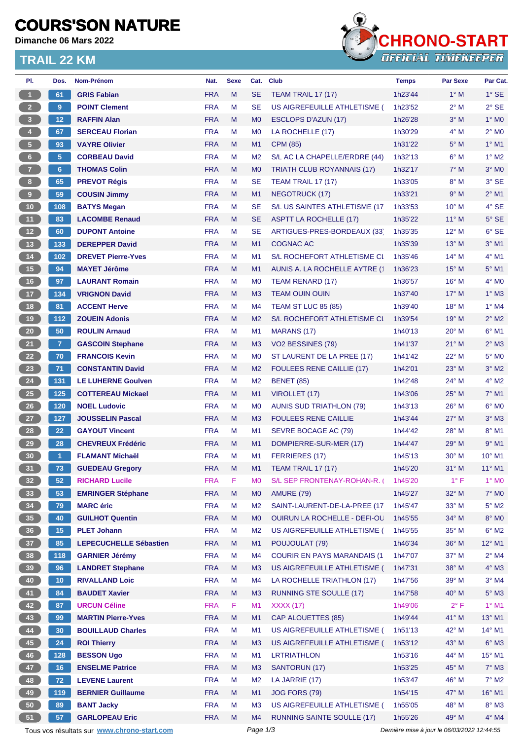## **COURS'SON NATURE**

**Dimanche 06 Mars 2022**

### **TRAIL 22 KM**



| PI.                     | Dos.            | Nom-Prénom                                  | Nat.       | <b>Sexe</b> | Cat.           | <b>Club</b>                         | <b>Temps</b>                                | Par Sexe       | Par Cat.            |
|-------------------------|-----------------|---------------------------------------------|------------|-------------|----------------|-------------------------------------|---------------------------------------------|----------------|---------------------|
| $\blacksquare$          | 61              | <b>GRIS Fabian</b>                          | <b>FRA</b> | M           | <b>SE</b>      | <b>TEAM TRAIL 17 (17)</b>           | 1h23'44                                     | $1^\circ$ M    | $1^\circ$ SE        |
| 2 <sup>2</sup>          | 9               | <b>POINT Clement</b>                        | <b>FRA</b> | M           | <b>SE</b>      | US AIGREFEUILLE ATHLETISME (        | 1h23'52                                     | $2^{\circ}$ M  | $2°$ SE             |
| $\overline{\mathbf{3}}$ | 12              | <b>RAFFIN Alan</b>                          | <b>FRA</b> | M           | M <sub>0</sub> | ESCLOPS D'AZUN (17)                 | 1h26'28                                     | $3^\circ$ M    | $1^\circ$ MO        |
| $\blacklozenge$         | 67              | <b>SERCEAU Florian</b>                      | <b>FRA</b> | M           | M <sub>0</sub> | LA ROCHELLE (17)                    | 1h30'29                                     | $4^\circ$ M    | $2^{\circ}$ MO      |
| $\sqrt{5}$              | 93              | <b>VAYRE Olivier</b>                        | <b>FRA</b> | M           | M1             | <b>CPM (85)</b>                     | 1h31'22                                     | $5^\circ$ M    | $1^\circ$ M1        |
| $6\phantom{.}$          | 5               | <b>CORBEAU David</b>                        | <b>FRA</b> | М           | M <sub>2</sub> | S/L AC LA CHAPELLE/ERDRE (44)       | 1h32'13                                     | $6^\circ$ M    | $1^\circ$ M2        |
| 7 <sup>2</sup>          | $6\phantom{a}$  | <b>THOMAS Colin</b>                         | <b>FRA</b> | M           | M <sub>0</sub> | TRIATH CLUB ROYANNAIS (17)          | 1h32'17                                     | $7^\circ$ M    | $3°$ MO             |
| 8 <sub>1</sub>          | 65              | <b>PREVOT Régis</b>                         | <b>FRA</b> | M           | <b>SE</b>      | <b>TEAM TRAIL 17 (17)</b>           | 1h33'05                                     | $8^\circ$ M    | $3°$ SE             |
| 9                       | 59              | <b>COUSIN Jimmy</b>                         | <b>FRA</b> | M           | M1             | <b>NEGOTRUCK (17)</b>               | 1h33'21                                     | 9° M           | $2^{\circ}$ M1      |
| 10                      | 108             | <b>BATYS Megan</b>                          | <b>FRA</b> | M           | <b>SE</b>      | S/L US SAINTES ATHLETISME (17       | 1h33'53                                     | $10^{\circ}$ M | 4° SE               |
| 11                      | 83              | <b>LACOMBE Renaud</b>                       | <b>FRA</b> | M           | <b>SE</b>      | ASPTT LA ROCHELLE (17)              | 1h35'22                                     | $11^{\circ}$ M | $5^\circ$ SE        |
| 12                      | 60              | <b>DUPONT Antoine</b>                       | <b>FRA</b> | М           | SE             | ARTIGUES-PRES-BORDEAUX (33)         | 1h35'35                                     | $12^{\circ}$ M | $6°$ SE             |
| 13                      | 133             | <b>DEREPPER David</b>                       | <b>FRA</b> | M           | M1             | <b>COGNAC AC</b>                    | 1h35'39                                     | $13^\circ$ M   | $3°$ M1             |
| $14$                    | 102             | <b>DREVET Pierre-Yves</b>                   | <b>FRA</b> | M           | M <sub>1</sub> | S/L ROCHEFORT ATHLETISME CL         | 1h35'46                                     | $14^{\circ}$ M | $4^\circ$ M1        |
| 15                      | 94              | <b>MAYET Jérôme</b>                         | <b>FRA</b> | M           | M <sub>1</sub> | AUNIS A. LA ROCHELLE AYTRE (*       | 1h36'23                                     | $15^{\circ}$ M | $5^\circ$ M1        |
| 16                      | 97              | <b>LAURANT Romain</b>                       | <b>FRA</b> | M           | M <sub>0</sub> | TEAM RENARD (17)                    | 1h36'57                                     | $16^{\circ}$ M | $4^\circ$ MO        |
| $17$                    | 134             | <b>VRIGNON David</b>                        | <b>FRA</b> | M           | M <sub>3</sub> | <b>TEAM OUIN OUIN</b>               | 1h37'40                                     | $17^\circ$ M   | $1^\circ$ M3        |
| 18                      | 81              | <b>ACCENT Herve</b>                         | <b>FRA</b> | M           | M <sub>4</sub> | <b>TEAM ST LUC 85 (85)</b>          | 1h39'40                                     | $18^{\circ}$ M | $1^\circ$ M4        |
| 19                      | $112$           | <b>ZOUEIN Adonis</b>                        | <b>FRA</b> | M           | M <sub>2</sub> | S/L ROCHEFORT ATHLETISME CI         | 1h39'54                                     | $19°$ M        | $2^{\circ}$ M2      |
| 20                      | 50              | <b>ROULIN Arnaud</b>                        | <b>FRA</b> | M           | M <sub>1</sub> | MARANS (17)                         | 1h40'13                                     | $20^{\circ}$ M | $6^{\circ}$ M1      |
| 21                      | 7 <sup>1</sup>  | <b>GASCOIN Stephane</b>                     | <b>FRA</b> | M           | M3             | VO2 BESSINES (79)                   | 1h41'37                                     | $21^{\circ}$ M | $2^{\circ}$ M3      |
| 22                      | 70              | <b>FRANCOIS Kevin</b>                       | <b>FRA</b> | M           | M <sub>0</sub> | ST LAURENT DE LA PREE (17)          | 1h41'42                                     | $22^{\circ}$ M | $5^\circ$ MO        |
| 23                      | 71              | <b>CONSTANTIN David</b>                     | <b>FRA</b> | M           | M <sub>2</sub> | <b>FOULEES RENE CAILLIE (17)</b>    | 1h42'01                                     | $23^\circ$ M   | $3°$ M2             |
| 24                      | 131             | <b>LE LUHERNE Goulven</b>                   | <b>FRA</b> | M           | M <sub>2</sub> | <b>BENET (85)</b>                   | 1h42'48                                     | $24^{\circ}$ M | $4^\circ$ M2        |
| 25                      | 125             | <b>COTTEREAU Mickael</b>                    | <b>FRA</b> | M           | M1             | VIROLLET (17)                       | 1h43'06                                     | $25^{\circ}$ M | $7°$ M1             |
| 26                      | 120             | <b>NOEL Ludovic</b>                         | <b>FRA</b> | M           | M <sub>0</sub> | <b>AUNIS SUD TRIATHLON (79)</b>     | 1h43'13                                     | $26^{\circ}$ M | $6^\circ$ MO        |
| 27                      | 127             | <b>JOUSSELIN Pascal</b>                     | <b>FRA</b> | M           | M3             | <b>FOULEES RENE CAILLIE</b>         | 1h43'44                                     | $27^\circ$ M   | $3°$ M <sub>3</sub> |
| ${\bf 28}$              | 22              | <b>GAYOUT Vincent</b>                       | <b>FRA</b> | м           | M1             | SEVRE BOCAGE AC (79)                | 1h44'42                                     | $28^{\circ}$ M | 8° M1               |
| 29                      | 28              | <b>CHEVREUX Frédéric</b>                    | <b>FRA</b> | M           | M1             | DOMPIERRE-SUR-MER (17)              | 1h44'47                                     | 29° M          | $9°$ M1             |
| 30                      | -1              | <b>FLAMANT Michaël</b>                      | <b>FRA</b> | м           | M1             | FERRIERES (17)                      | 1h45'13                                     | $30^\circ$ M   | $10^{\circ}$ M1     |
| 31                      | 73              | <b>GUEDEAU Gregory</b>                      | <b>FRA</b> | M           | M1             | TEAM TRAIL 17 (17)                  | 1h45'20                                     | $31^\circ$ M   | $11^{\circ}$ M1     |
| 32 <sub>2</sub>         | 52              | <b>RICHARD Lucile</b>                       | <b>FRA</b> | F.          | M <sub>0</sub> | S/L SEP FRONTENAY-ROHAN-R.          | 1h45'20                                     | $1^{\circ}$ F  | $1^\circ$ MO        |
| 33                      | 53              | <b>EMRINGER Stéphane</b>                    | <b>FRA</b> | M           | M <sub>0</sub> | <b>AMURE (79)</b>                   | 1h45'27                                     | $32^\circ$ M   | $7^\circ$ MO        |
| 34                      | 79              | <b>MARC</b> éric                            | <b>FRA</b> | M           | M <sub>2</sub> | SAINT-LAURENT-DE-LA-PREE (17        | 1h45'47                                     | 33° M          | $5^\circ$ M2        |
| 35                      | 40              | <b>GUILHOT Quentin</b>                      | <b>FRA</b> | M           | M <sub>0</sub> | OUIRUN LA ROCHELLE - DEFI-OL        | 1h45'55                                     | 34° M          | $8^\circ$ MO        |
| 36                      | 15              | <b>PLET Johann</b>                          | <b>FRA</b> | M           | M <sub>2</sub> | US AIGREFEUILLE ATHLETISME (        | 1h45'55                                     | 35° M          | $6^{\circ}$ M2      |
| 37 <sup>°</sup>         | 85              | <b>LEPECUCHELLE Sébastien</b>               | <b>FRA</b> | M           | M1             | POUJOULAT (79)                      | 1h46'34                                     | 36° M          | 12° M1              |
| 38                      | 118             | <b>GARNIER Jérémy</b>                       | <b>FRA</b> | M           | M4             | <b>COURIR EN PAYS MARANDAIS (1)</b> | 1h47'07                                     | $37^\circ$ M   | $2^{\circ}$ M4      |
| 39                      | 96              | <b>LANDRET Stephane</b>                     | <b>FRA</b> | M           | M <sub>3</sub> | US AIGREFEUILLE ATHLETISME (        | 1h47'31                                     | 38° M          | $4^\circ$ M3        |
| 40                      | 10 <sub>1</sub> | <b>RIVALLAND Loic</b>                       | <b>FRA</b> | M           | M4             | LA ROCHELLE TRIATHLON (17)          | 1h47'56                                     | 39° M          | $3°$ M4             |
| 41                      | 84              | <b>BAUDET Xavier</b>                        | <b>FRA</b> | M           | M <sub>3</sub> | <b>RUNNING STE SOULLE (17)</b>      | 1h47'58                                     | 40° M          | $5^\circ$ M3        |
| 42                      | 87              | <b>URCUN Céline</b>                         | <b>FRA</b> | F           | M <sub>1</sub> | <b>XXXX (17)</b>                    | 1h49'06                                     | $2^{\circ}$ F  | $1°$ M1             |
| 43                      | 99              | <b>MARTIN Pierre-Yves</b>                   | <b>FRA</b> | M           | M1             | CAP ALOUETTES (85)                  | 1h49'44                                     | $41^{\circ}$ M | $13^{\circ}$ M1     |
| 44                      | 30 <sub>2</sub> | <b>BOUILLAUD Charles</b>                    | <b>FRA</b> | M           | M <sub>1</sub> | US AIGREFEUILLE ATHLETISME (        | 1h51'13                                     | 42° M          | $14^{\circ}$ M1     |
| 45                      | 24              | <b>ROI Thierry</b>                          | <b>FRA</b> | M           | M <sub>3</sub> | US AIGREFEUILLE ATHLETISME (        | 1h53'12                                     | 43° M          | $6^\circ$ M3        |
| 46                      | 128             | <b>BESSON Ugo</b>                           | <b>FRA</b> | M           | M1             | <b>LRTRIATHLON</b>                  | 1h53'16                                     | 44° M          | 15° M1              |
| 47                      | 16              | <b>ENSELME Patrice</b>                      | <b>FRA</b> | M           | M <sub>3</sub> | <b>SANTORUN (17)</b>                | 1h53'25                                     | 45° M          | $7^\circ$ M3        |
| 48                      | 72 <sub>2</sub> | <b>LEVENE Laurent</b>                       | <b>FRA</b> | M           | M <sub>2</sub> | LA JARRIE (17)                      | 1h53'47                                     | 46° M          | $7^\circ$ M2        |
| 49                      |                 | <b>BERNIER Guillaume</b>                    | <b>FRA</b> | M           | M1             | <b>JOG FORS (79)</b>                | 1h54'15                                     | 47° M          | $16^{\circ}$ M1     |
| 50                      | 119<br>89       | <b>BANT Jacky</b>                           | <b>FRA</b> | M           | M <sub>3</sub> | US AIGREFEUILLE ATHLETISME (        |                                             | 48° M          | $8^\circ$ M3        |
| 51                      | 57              | <b>GARLOPEAU Eric</b>                       | <b>FRA</b> | M           | M4             | <b>RUNNING SAINTE SOULLE (17)</b>   | 1h55'05<br>1h55'26                          | 49° M          | $4^\circ$ M4        |
|                         |                 |                                             |            |             | Page 1/3       |                                     | Dernière mise à jour le 06/03/2022 12:44:55 |                |                     |
|                         |                 | Tous vos résultats sur www.chrono-start.com |            |             |                |                                     |                                             |                |                     |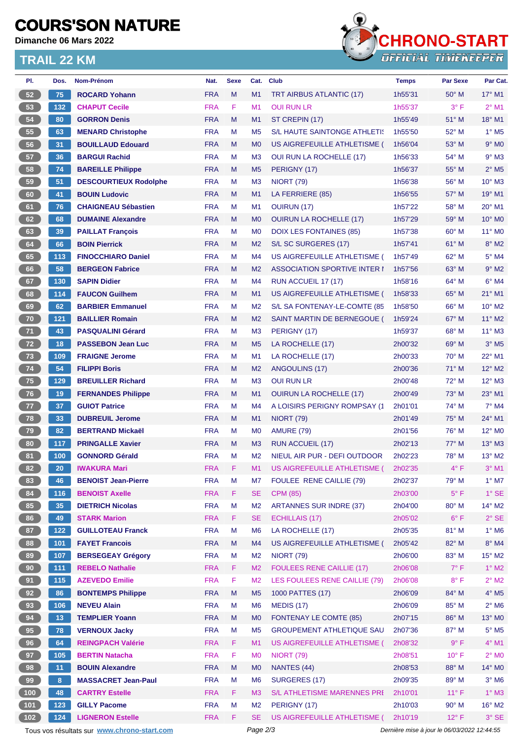## **COURS'SON NATURE**

**Dimanche 06 Mars 2022**

### **TRAIL 22 KM**



| PI.                                                                                                    | Dos.           | Nom-Prénom                                    | Nat.                     | <b>Sexe</b> | Cat.                             | <b>Club</b>                                                       | <b>Temps</b> | <b>Par Sexe</b> | Par Cat.                   |
|--------------------------------------------------------------------------------------------------------|----------------|-----------------------------------------------|--------------------------|-------------|----------------------------------|-------------------------------------------------------------------|--------------|-----------------|----------------------------|
| 52                                                                                                     | 75             | <b>ROCARD Yohann</b>                          | <b>FRA</b>               | M           | M1                               | <b>TRT AIRBUS ATLANTIC (17)</b>                                   | 1h55'31      | $50^\circ$ M    | $17^{\circ}$ M1            |
| 53                                                                                                     | 132            | <b>CHAPUT Cecile</b>                          | <b>FRA</b>               | F           | M1                               | <b>OUI RUN LR</b>                                                 | 1h55'37      | $3^{\circ}$ F   | $2^{\circ}$ M1             |
| 54                                                                                                     | 80             | <b>GORRON Denis</b>                           | <b>FRA</b>               | M           | M <sub>1</sub>                   | ST CREPIN (17)                                                    | 1h55'49      | $51^\circ$ M    | 18° M1                     |
| 55                                                                                                     | 63             | <b>MENARD Christophe</b>                      | <b>FRA</b>               | М           | M <sub>5</sub>                   | S/L HAUTE SAINTONGE ATHLETIS                                      | 1h55'50      | $52^{\circ}$ M  | $1^\circ$ M <sub>5</sub>   |
| 56                                                                                                     | 31             | <b>BOUILLAUD Edouard</b>                      | <b>FRA</b>               | M           | M <sub>0</sub>                   | US AIGREFEUILLE ATHLETISME (                                      | 1h56'04      | 53° M           | $9°$ MO                    |
| 57                                                                                                     | 36             | <b>BARGUI Rachid</b>                          | <b>FRA</b>               | M           | M <sub>3</sub>                   | <b>OUI RUN LA ROCHELLE (17)</b>                                   | 1h56'33      | $54^{\circ}$ M  | $9°$ M <sub>3</sub>        |
| 58                                                                                                     | 74             | <b>BAREILLE Philippe</b>                      | <b>FRA</b>               | M           | M <sub>5</sub>                   | PERIGNY (17)                                                      | 1h56'37      | 55° M           | $2^{\circ}$ M <sub>5</sub> |
| 59                                                                                                     | 51             | <b>DESCOURTIEUX Rodolphe</b>                  | <b>FRA</b>               | M           | M <sub>3</sub>                   | <b>NIORT (79)</b>                                                 | 1h56'38      | 56° M           | $10^{\circ}$ M3            |
| 60                                                                                                     | 41             | <b>BOUIN Ludovic</b>                          | <b>FRA</b>               | M           | M1                               | LA FERRIERE (85)                                                  | 1h56'55      | 57° M           | 19° M1                     |
| 61                                                                                                     | 76             | <b>CHAIGNEAU Sébastien</b>                    | <b>FRA</b>               | М           | M1                               | <b>OUIRUN (17)</b>                                                | 1h57'22      | $58^{\circ}$ M  | $20^\circ$ M1              |
| 62                                                                                                     | 68             | <b>DUMAINE Alexandre</b>                      | <b>FRA</b>               | M           | M <sub>0</sub>                   | <b>OUIRUN LA ROCHELLE (17)</b>                                    | 1h57'29      | 59° M           | 10° M0                     |
| 63                                                                                                     | 39             | <b>PAILLAT François</b>                       | <b>FRA</b>               | М           | M <sub>0</sub>                   | DOIX LES FONTAINES (85)                                           | 1h57'38      | $60^\circ$ M    | 11° MO                     |
| 64                                                                                                     | 66             | <b>BOIN Pierrick</b>                          | <b>FRA</b>               | M           | M <sub>2</sub>                   | S/L SC SURGERES (17)                                              | 1h57'41      | $61^\circ$ M    | $8^\circ$ M2               |
| 65                                                                                                     | 113            | <b>FINOCCHIARO Daniel</b>                     | <b>FRA</b>               | М           | M4                               | US AIGREFEUILLE ATHLETISME (                                      | 1h57'49      | 62° M           | $5^\circ$ M4               |
| 66                                                                                                     | 58             | <b>BERGEON Fabrice</b>                        | <b>FRA</b>               | M           | M <sub>2</sub>                   | <b>ASSOCIATION SPORTIVE INTER I</b>                               | 1h57'56      | 63° M           | $9°$ M2                    |
| 67                                                                                                     | 130            | <b>SAPIN Didier</b>                           | <b>FRA</b>               | M           | M4                               | RUN ACCUEIL 17 (17)                                               | 1h58'16      | 64° M           | $6°$ M4                    |
| 68                                                                                                     | 114            | <b>FAUCON Guilhem</b>                         | <b>FRA</b>               | M           | M <sub>1</sub>                   | US AIGREFEUILLE ATHLETISME (                                      | 1h58'33      | $65^\circ$ M    | $21^{\circ}$ M1            |
| 69                                                                                                     | 62             | <b>BARBIER Emmanuel</b>                       | <b>FRA</b>               | М           | M <sub>2</sub>                   | S/L SA FONTENAY-LE-COMTE (85                                      | 1h58'50      | 66° M           | $10^{\circ}$ M2            |
| 70                                                                                                     | 121            | <b>BAILLIER Romain</b>                        | <b>FRA</b>               | M           | M <sub>2</sub>                   | SAINT MARTIN DE BERNEGOUE (                                       | 1h59'24      | $67^\circ$ M    | $11^{\circ}$ M2            |
| 71                                                                                                     | 43             | <b>PASQUALINI Gérard</b>                      | <b>FRA</b>               | М           | M <sub>3</sub>                   | PERIGNY (17)                                                      | 1h59'37      | $68^\circ$ M    | 11° M3                     |
| $\bf 72$                                                                                               | 18             | <b>PASSEBON Jean Luc</b>                      | <b>FRA</b>               | M           | M <sub>5</sub>                   | LA ROCHELLE (17)                                                  | 2h00'32      | $69^{\circ}$ M  | $3°$ M <sub>5</sub>        |
| 73                                                                                                     | 109            | <b>FRAIGNE Jerome</b>                         | <b>FRA</b>               | M           | M <sub>1</sub>                   | LA ROCHELLE (17)                                                  | 2h00'33      | $70^\circ$ M    | 22° M1                     |
| 74                                                                                                     | 54             | <b>FILIPPI Boris</b>                          | <b>FRA</b>               | M           | M <sub>2</sub>                   | ANGOULINS (17)                                                    | 2h00'36      | $71^\circ$ M    | 12° M2                     |
| 75                                                                                                     | 129            | <b>BREUILLER Richard</b>                      | <b>FRA</b>               | М           | M <sub>3</sub>                   | <b>OUI RUN LR</b>                                                 | 2h00'48      | $72^{\circ}$ M  | $12^{\circ}$ M3            |
| 76                                                                                                     | 19             | <b>FERNANDES Philippe</b>                     | <b>FRA</b>               | M           | M1                               | <b>OUIRUN LA ROCHELLE (17)</b>                                    | 2h00'49      | 73° M           | 23° M1                     |
| 77                                                                                                     | 37             | <b>GUIOT Patrice</b>                          | <b>FRA</b>               | М           | M4                               | A LOISIRS PERIGNY ROMPSAY (1                                      | 2h01'01      | 74° M           | $7^\circ$ M4               |
| 78                                                                                                     | 33             | <b>DUBREUIL Jerome</b>                        | <b>FRA</b>               | M           | M1                               | <b>NIORT (79)</b>                                                 | 2h01'49      | $75^\circ$ M    | 24° M1                     |
| 79                                                                                                     | 82             | <b>BERTRAND Mickaël</b>                       | <b>FRA</b>               | М           | M <sub>0</sub>                   | <b>AMURE (79)</b>                                                 | 2h01'56      | $76^{\circ}$ M  | 12° M <sub>0</sub>         |
| 80                                                                                                     | 117            | <b>PRINGALLE Xavier</b>                       | <b>FRA</b>               | M           | M <sub>3</sub>                   | RUN ACCUEIL (17)                                                  | 2h02'13      | $77^\circ$ M    | $13^{\circ}$ M3            |
| 81                                                                                                     | 100            | <b>GONNORD Gérald</b>                         | <b>FRA</b>               | М           | M <sub>2</sub>                   | NIEUL AIR PUR - DEFI OUTDOOR                                      | 2h02'23      | 78° M           | 13° M2                     |
| 82                                                                                                     | 20             | <b>IWAKURA Mari</b>                           | <b>FRA</b>               | F.          | M1                               | US AIGREFEUILLE ATHLETISME (                                      | 2h02'35      | $4^{\circ}$ F   | $3°$ M1                    |
| 83                                                                                                     | 46             | <b>BENOIST Jean-Pierre</b>                    | <b>FRA</b>               | Μ           | M7                               | FOULEE RENE CAILLIE (79)                                          | 2h02'37      | 79° M           | $1^\circ$ M7               |
| 84                                                                                                     | 116            | <b>BENOIST Axelle</b>                         | <b>FRA</b>               | F.          | <b>SE</b>                        | <b>CPM (85)</b>                                                   | 2h03'00      | $5^{\circ}$ F   | $1^\circ$ SE               |
| 85                                                                                                     | 35             | <b>DIETRICH Nicolas</b>                       | <b>FRA</b>               | M           | M <sub>2</sub>                   | <b>ARTANNES SUR INDRE (37)</b>                                    | 2h04'00      | 80° M           | $14^{\circ}$ M2            |
| 86                                                                                                     | 49             | <b>STARK Marion</b>                           | <b>FRA</b>               | F           | <b>SE</b>                        | <b>ECHILLAIS (17)</b>                                             | 2h05'02      | $6^{\circ}$ F   | $2°$ SE                    |
| 87                                                                                                     | $122$          | <b>GUILLOTEAU Franck</b>                      | <b>FRA</b>               | M           | M <sub>6</sub>                   | LA ROCHELLE (17)                                                  | 2h05'35      | 81° M           | $1^\circ$ M6               |
| 88                                                                                                     | 101            | <b>FAYET Francois</b>                         | <b>FRA</b>               | M           | M4                               | US AIGREFEUILLE ATHLETISME (                                      | 2h05'42      | 82° M           | $8^\circ$ M4               |
| 89                                                                                                     | 107            | <b>BERSEGEAY Grégory</b>                      | <b>FRA</b>               | M           | M <sub>2</sub>                   | <b>NIORT (79)</b>                                                 | 2h06'00      | 83° M           | 15° M2                     |
| 90 <sub>o</sub>                                                                                        | $111$          | <b>REBELO Nathalie</b>                        | <b>FRA</b>               | F.          | M <sub>2</sub>                   | <b>FOULEES RENE CAILLIE (17)</b>                                  | 2h06'08      | $7^\circ$ F     | $1^\circ$ M2               |
| 91                                                                                                     | 115            | <b>AZEVEDO Emilie</b>                         | <b>FRA</b>               | F           | M <sub>2</sub>                   | LES FOULEES RENE CAILLIE (79)                                     | 2h06'08      | $8^{\circ}$ F   | $2^{\circ}$ M2             |
| 92                                                                                                     | 86             | <b>BONTEMPS Philippe</b>                      | <b>FRA</b>               | M           | M <sub>5</sub>                   | 1000 PATTES (17)                                                  | 2h06'09      | 84° M           | $4^\circ$ M5               |
| 93                                                                                                     | 106            | <b>NEVEU Alain</b>                            | <b>FRA</b>               | M           | M <sub>6</sub>                   | <b>MEDIS (17)</b>                                                 | 2h06'09      | $85^\circ$ M    | $2^{\circ}$ M6             |
|                                                                                                        |                |                                               |                          |             |                                  |                                                                   |              |                 |                            |
| 94<br>95                                                                                               | 13<br>78       | <b>TEMPLIER Yoann</b><br><b>VERNOUX Jacky</b> | <b>FRA</b><br><b>FRA</b> | M<br>M      | M <sub>0</sub><br>M <sub>5</sub> | <b>FONTENAY LE COMTE (85)</b><br><b>GROUPEMENT ATHLETIQUE SAU</b> | 2h07'15      | 86° M<br>87° M  | 13° MO<br>$5^\circ$ M5     |
|                                                                                                        |                |                                               |                          |             |                                  |                                                                   | 2h07'36      |                 |                            |
| 96                                                                                                     | 64             | <b>REINGPACH Valérie</b>                      | <b>FRA</b>               | F.          | M <sub>1</sub>                   | US AIGREFEUILLE ATHLETISME (                                      | 2h08'32      | $9^{\circ}$ F   | $4^\circ$ M1               |
| 97                                                                                                     | 105            | <b>BERTIN Natacha</b>                         | <b>FRA</b>               | F           | M <sub>0</sub>                   | <b>NIORT (79)</b>                                                 | 2h08'51      | $10^{\circ}$ F  | $2^{\circ}$ MO             |
| 98                                                                                                     | 11             | <b>BOUIN Alexandre</b>                        | <b>FRA</b>               | M           | M <sub>0</sub>                   | NANTES (44)                                                       | 2h08'53      | 88° M           | 14° MO                     |
| 99                                                                                                     | 8 <sup>2</sup> | <b>MASSACRET Jean-Paul</b>                    | <b>FRA</b>               | М           | M <sub>6</sub>                   | SURGERES (17)                                                     | 2h09'35      | 89° M           | $3^\circ$ M6               |
| $100$                                                                                                  | 48             | <b>CARTRY Estelle</b>                         | <b>FRA</b>               | F.          | M <sub>3</sub>                   | S/L ATHLETISME MARENNES PRI                                       | 2h10'01      | $11^{\circ}$ F  | $1^\circ$ M3               |
| 101                                                                                                    | 123            | <b>GILLY Pacome</b>                           | <b>FRA</b>               | М           | M <sub>2</sub>                   | PERIGNY (17)                                                      | 2h10'03      | $90^\circ$ M    | $16^{\circ}$ M2            |
| 102                                                                                                    | 124            | <b>LIGNERON Estelle</b>                       | <b>FRA</b>               | F.          | <b>SE</b>                        | US AIGREFEUILLE ATHLETISME (                                      | 2h10'19      | $12^{\circ}$ F  | $3°$ SE                    |
| Dernière mise à jour le 06/03/2022 12:44:55<br>Tous vos résultats sur www.chrono-start.com<br>Page 2/3 |                |                                               |                          |             |                                  |                                                                   |              |                 |                            |